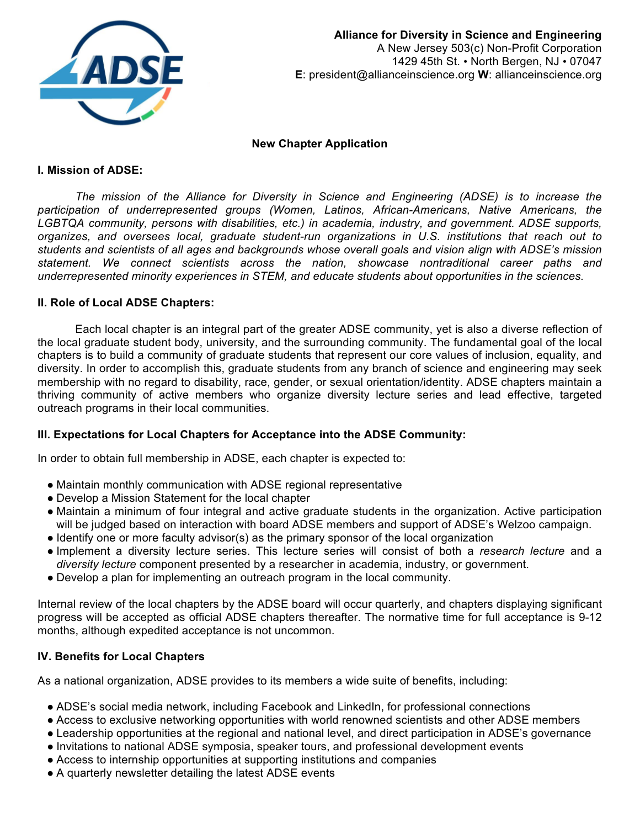

## **New Chapter Application**

## **I. Mission of ADSE:**

The mission of the Alliance for Diversity in Science and Engineering (ADSE) is to increase the participation of underrepresented groups (Women, Latinos, African-Americans, Native Americans, the LGBTQA community, persons with disabilities, etc.) in academia, industry, and government. ADSE supports, organizes, and oversees local, graduate student-run organizations in U.S. institutions that reach out to students and scientists of all ages and backgrounds whose overall goals and vision align with ADSE's mission statement. We connect scientists across the nation, showcase nontraditional career paths and underrepresented minority experiences in STEM, and educate students about opportunities in the sciences.

## **II. Role of Local ADSE Chapters:**

Each local chapter is an integral part of the greater ADSE community, yet is also a diverse reflection of the local graduate student body, university, and the surrounding community. The fundamental goal of the local chapters is to build a community of graduate students that represent our core values of inclusion, equality, and diversity. In order to accomplish this, graduate students from any branch of science and engineering may seek membership with no regard to disability, race, gender, or sexual orientation/identity. ADSE chapters maintain a thriving community of active members who organize diversity lecture series and lead effective, targeted outreach programs in their local communities.

## **III. Expectations for Local Chapters for Acceptance into the ADSE Community:**

In order to obtain full membership in ADSE, each chapter is expected to:

- Maintain monthly communication with ADSE regional representative
- Develop a Mission Statement for the local chapter
- Maintain a minimum of four integral and active graduate students in the organization. Active participation will be judged based on interaction with board ADSE members and support of ADSE's Welzoo campaign.
- Identify one or more faculty advisor(s) as the primary sponsor of the local organization
- Implement a diversity lecture series. This lecture series will consist of both a *research lecture* and a *diversity lecture* component presented by a researcher in academia, industry, or government.
- Develop a plan for implementing an outreach program in the local community.

Internal review of the local chapters by the ADSE board will occur quarterly, and chapters displaying significant progress will be accepted as official ADSE chapters thereafter. The normative time for full acceptance is 9-12 months, although expedited acceptance is not uncommon.

#### **IV. Benefits for Local Chapters**

As a national organization, ADSE provides to its members a wide suite of benefits, including:

- ADSE's social media network, including Facebook and LinkedIn, for professional connections
- Access to exclusive networking opportunities with world renowned scientists and other ADSE members
- Leadership opportunities at the regional and national level, and direct participation in ADSE's governance
- Invitations to national ADSE symposia, speaker tours, and professional development events
- Access to internship opportunities at supporting institutions and companies
- A quarterly newsletter detailing the latest ADSE events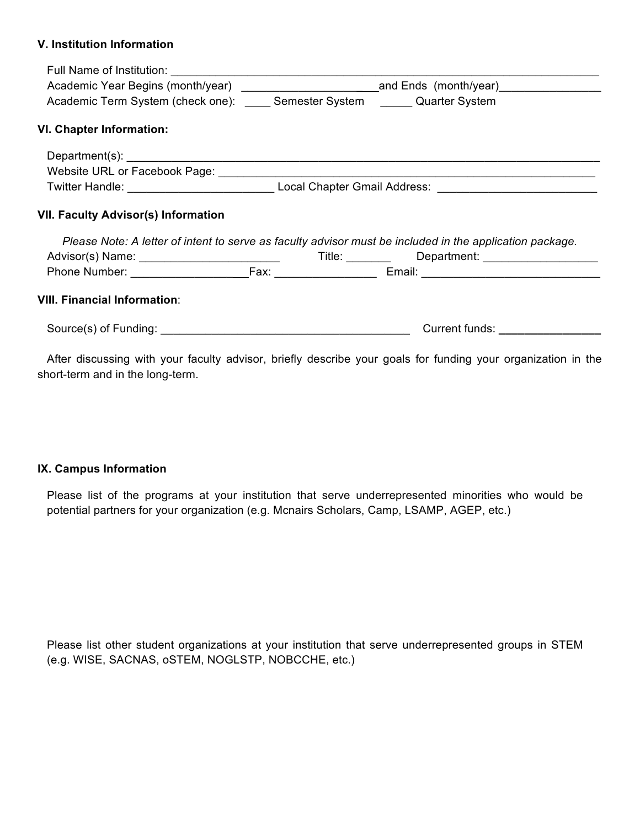## **V.** Institution Information

| Academic Term System (check one): Semester System Quarter System |                                                                                                                                                                                                                                |  |  |  |
|------------------------------------------------------------------|--------------------------------------------------------------------------------------------------------------------------------------------------------------------------------------------------------------------------------|--|--|--|
| <b>VI. Chapter Information:</b>                                  |                                                                                                                                                                                                                                |  |  |  |
|                                                                  |                                                                                                                                                                                                                                |  |  |  |
|                                                                  |                                                                                                                                                                                                                                |  |  |  |
|                                                                  |                                                                                                                                                                                                                                |  |  |  |
| <b>VII. Faculty Advisor(s) Information</b>                       | Please Note: A letter of intent to serve as faculty advisor must be included in the application package.                                                                                                                       |  |  |  |
|                                                                  |                                                                                                                                                                                                                                |  |  |  |
|                                                                  |                                                                                                                                                                                                                                |  |  |  |
| <b>VIII. Financial Information:</b>                              |                                                                                                                                                                                                                                |  |  |  |
|                                                                  | Current funds: The contract of the contract of the contract of the contract of the contract of the contract of the contract of the contract of the contract of the contract of the contract of the contract of the contract of |  |  |  |
|                                                                  |                                                                                                                                                                                                                                |  |  |  |

After discussing with your faculty advisor, briefly describe your goals for funding your organization in the short-term and in the long-term.

## **IX. Campus Information**

Please list of the programs at your institution that serve underrepresented minorities who would be potential partners for your organization (e.g. Mcnairs Scholars, Camp, LSAMP, AGEP, etc.)

Please list other student organizations at your institution that serve underrepresented groups in STEM (e.g. WISE, SACNAS, oSTEM, NOGLSTP, NOBCCHE, etc.)